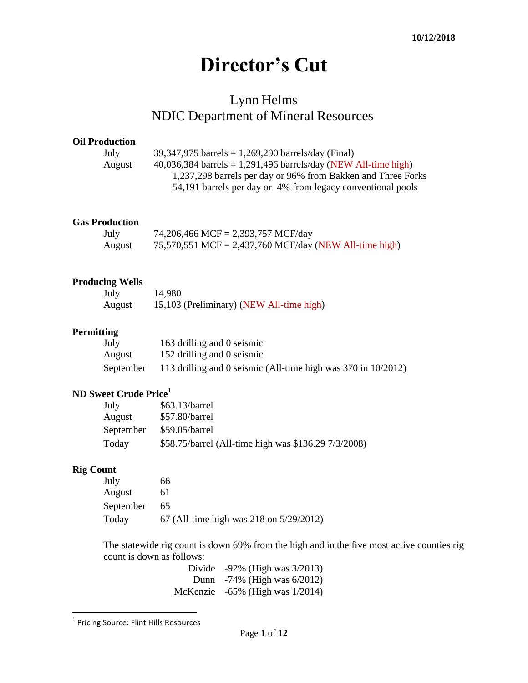# **Director's Cut**

## Lynn Helms NDIC Department of Mineral Resources

### **Oil Production**

| July   | 39,347,975 barrels = $1,269,290$ barrels/day (Final)             |
|--------|------------------------------------------------------------------|
| August | $40,036,384$ barrels = 1,291,496 barrels/day (NEW All-time high) |
|        | 1,237,298 barrels per day or 96% from Bakken and Three Forks     |
|        | 54,191 barrels per day or 4% from legacy conventional pools      |
|        |                                                                  |

### **Gas Production**

| July   | 74,206,466 MCF = 2,393,757 MCF/day                     |
|--------|--------------------------------------------------------|
| August | 75,570,551 MCF = 2,437,760 MCF/day (NEW All-time high) |

### **Producing Wells**

| July   | 14,980                                   |
|--------|------------------------------------------|
| August | 15,103 (Preliminary) (NEW All-time high) |

### **Permitting**

| July      | 163 drilling and 0 seismic                                    |
|-----------|---------------------------------------------------------------|
| August    | 152 drilling and 0 seismic                                    |
| September | 113 drilling and 0 seismic (All-time high was 370 in 10/2012) |

### **ND Sweet Crude Price<sup>1</sup>**

| July      | $$63.13/b$ arrel                                     |
|-----------|------------------------------------------------------|
| August    | \$57.80/barrel                                       |
| September | \$59.05/barrel                                       |
| Today     | \$58.75/barrel (All-time high was \$136.29 7/3/2008) |

### **Rig Count**

| July      | 66.                                     |
|-----------|-----------------------------------------|
| August    | 61                                      |
| September | 65                                      |
| Today     | 67 (All-time high was 218 on 5/29/2012) |

The statewide rig count is down 69% from the high and in the five most active counties rig count is down as follows:

Divide -92% (High was 3/2013) Dunn -74% (High was 6/2012) McKenzie -65% (High was 1/2014)

 1 Pricing Source: Flint Hills Resources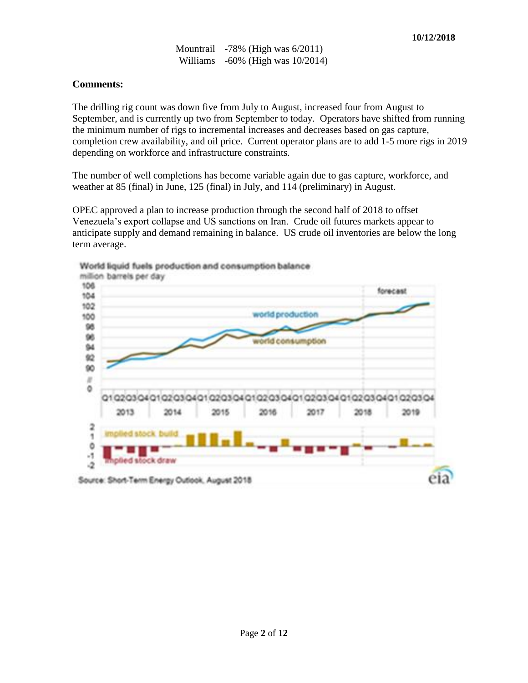Mountrail -78% (High was 6/2011) Williams -60% (High was 10/2014)

### **Comments:**

The drilling rig count was down five from July to August, increased four from August to September, and is currently up two from September to today. Operators have shifted from running the minimum number of rigs to incremental increases and decreases based on gas capture, completion crew availability, and oil price. Current operator plans are to add 1-5 more rigs in 2019 depending on workforce and infrastructure constraints.

The number of well completions has become variable again due to gas capture, workforce, and weather at 85 (final) in June, 125 (final) in July, and 114 (preliminary) in August.

OPEC approved a plan to increase production through the second half of 2018 to offset Venezuela's export collapse and US sanctions on Iran. Crude oil futures markets appear to anticipate supply and demand remaining in balance. US crude oil inventories are below the long term average.

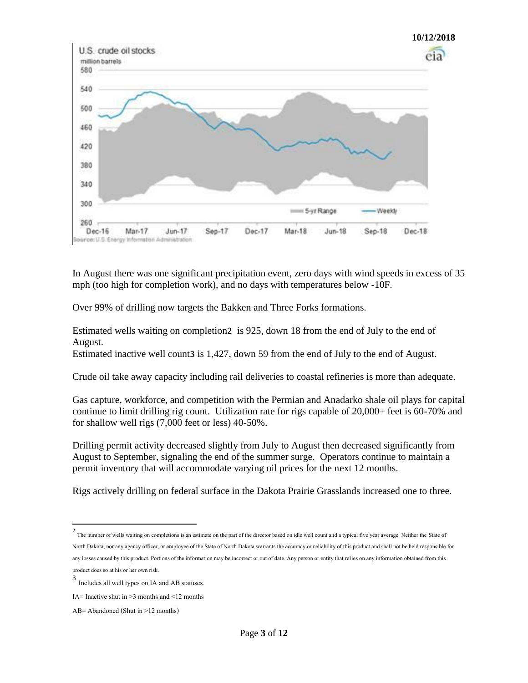

In August there was one significant precipitation event, zero days with wind speeds in excess of 35 mph (too high for completion work), and no days with temperatures below -10F.

Over 99% of drilling now targets the Bakken and Three Forks formations.

Estimated wells waiting on completion2 is 925, down 18 from the end of July to the end of August.

Estimated inactive well count3 is 1,427, down 59 from the end of July to the end of August.

Crude oil take away capacity including rail deliveries to coastal refineries is more than adequate.

Gas capture, workforce, and competition with the Permian and Anadarko shale oil plays for capital continue to limit drilling rig count. Utilization rate for rigs capable of 20,000+ feet is 60-70% and for shallow well rigs (7,000 feet or less) 40-50%.

Drilling permit activity decreased slightly from July to August then decreased significantly from August to September, signaling the end of the summer surge. Operators continue to maintain a permit inventory that will accommodate varying oil prices for the next 12 months.

Rigs actively drilling on federal surface in the Dakota Prairie Grasslands increased one to three.

<sup>&</sup>lt;sup>2</sup><br>The number of wells waiting on completions is an estimate on the part of the director based on idle well count and a typical five year average. Neither the State of North Dakota, nor any agency officer, or employee of the State of North Dakota warrants the accuracy or reliability of this product and shall not be held responsible for any losses caused by this product. Portions of the information may be incorrect or out of date. Any person or entity that relies on any information obtained from this product does so at his or her own risk.

<sup>3</sup> Includes all well types on IA and AB statuses.

IA= Inactive shut in  $>3$  months and  $\leq 12$  months

AB= Abandoned (Shut in >12 months)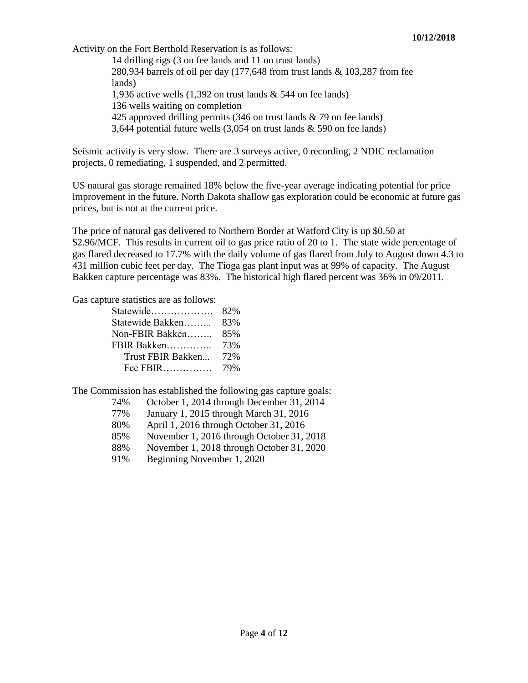Activity on the Fort Berthold Reservation is as follows:

14 drilling rigs (3 on fee lands and 11 on trust lands) 280,934 barrels of oil per day (177,648 from trust lands & 103,287 from fee lands) 1,936 active wells (1,392 on trust lands & 544 on fee lands) 136 wells waiting on completion 425 approved drilling permits (346 on trust lands & 79 on fee lands) 3,644 potential future wells (3,054 on trust lands & 590 on fee lands)

Seismic activity is very slow. There are 3 surveys active, 0 recording, 2 NDIC reclamation projects, 0 remediating, 1 suspended, and 2 permitted.

US natural gas storage remained 18% below the five-year average indicating potential for price improvement in the future. North Dakota shallow gas exploration could be economic at future gas prices, but is not at the current price.

The price of natural gas delivered to Northern Border at Watford City is up \$0.50 at \$2.96/MCF. This results in current oil to gas price ratio of 20 to 1. The state wide percentage of gas flared decreased to 17.7% with the daily volume of gas flared from July to August down 4.3 to 431 million cubic feet per day. The Tioga gas plant input was at 99% of capacity. The August Bakken capture percentage was 83%. The historical high flared percent was 36% in 09/2011.

Gas capture statistics are as follows:

| 82% |
|-----|
| 83% |
| 85% |
| 73% |
| 72% |
| 79% |
|     |

The Commission has established the following gas capture goals:

- 74% October 1, 2014 through December 31, 2014
- 77% January 1, 2015 through March 31, 2016
- 80% April 1, 2016 through October 31, 2016
- 85% November 1, 2016 through October 31, 2018
- 88% November 1, 2018 through October 31, 2020
- 91% Beginning November 1, 2020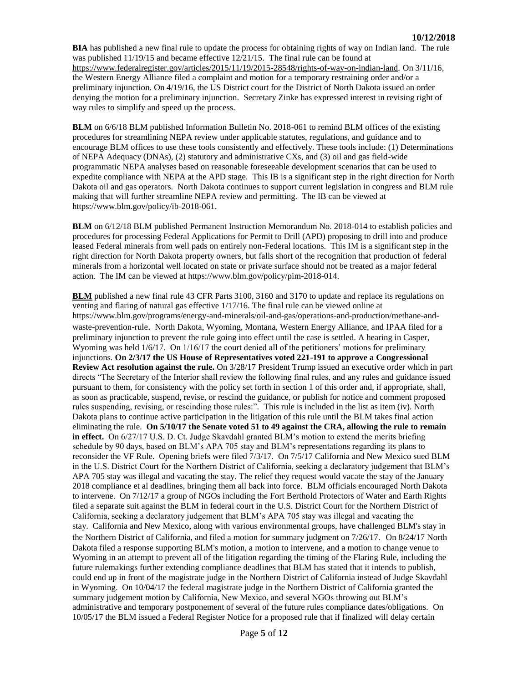**BIA** has published a new final rule to update the process for obtaining rights of way on Indian land. The rule was published 11/19/15 and became effective 12/21/15. The final rule can be found at [https://www.federalregister.gov/articles/2015/11/19/2015-28548/rights-of-way-on-indian-land.](https://www.federalregister.gov/articles/2015/11/19/2015-28548/rights-of-way-on-indian-land) On 3/11/16, the Western Energy Alliance filed a complaint and motion for a temporary restraining order and/or a preliminary injunction. On 4/19/16, the US District court for the District of North Dakota issued an order denying the motion for a preliminary injunction. Secretary Zinke has expressed interest in revising right of way rules to simplify and speed up the process.

**BLM** on 6/6/18 BLM published Information Bulletin No. 2018-061 to remind BLM offices of the existing procedures for streamlining NEPA review under applicable statutes, regulations, and guidance and to encourage BLM offices to use these tools consistently and effectively. These tools include: (1) Determinations of NEPA Adequacy (DNAs), (2) statutory and administrative CXs, and (3) oil and gas field-wide programmatic NEPA analyses based on reasonable foreseeable development scenarios that can be used to expedite compliance with NEPA at the APD stage. This IB is a significant step in the right direction for North Dakota oil and gas operators. North Dakota continues to support current legislation in congress and BLM rule making that will further streamline NEPA review and permitting. The IB can be viewed at [https://www.blm.gov/policy/ib-2018-061.](https://www.blm.gov/policy/ib-2018-061)

**BLM** on 6/12/18 BLM published Permanent Instruction Memorandum No. 2018-014 to establish policies and procedures for processing Federal Applications for Permit to Drill (APD) proposing to drill into and produce leased Federal minerals from well pads on entirely non-Federal locations. This IM is a significant step in the right direction for North Dakota property owners, but falls short of the recognition that production of federal minerals from a horizontal well located on state or private surface should not be treated as a major federal action. The IM can be viewed at [https://www.blm.gov/policy/pim-2018-014.](https://www.blm.gov/policy/pim-2018-014)

**BLM** published a new final rule 43 CFR Parts 3100, 3160 and 3170 to update and replace its regulations on venting and flaring of natural gas effective 1/17/16. The final rule can be viewed online at [https://www.blm.gov/programs/energy-and-minerals/oil-and-gas/operations-and-production/methane-and](https://www.blm.gov/programs/energy-and-minerals/oil-and-gas/operations-and-production/methane-and-waste-prevention-rule)[waste-prevention-rule](https://www.blm.gov/programs/energy-and-minerals/oil-and-gas/operations-and-production/methane-and-waste-prevention-rule). North Dakota, Wyoming, Montana, Western Energy Alliance, and IPAA filed for a preliminary injunction to prevent the rule going into effect until the case is settled. A hearing in Casper, Wyoming was held 1/6/17. On 1/16/17 the court denied all of the petitioners' motions for preliminary injunctions. **On 2/3/17 the US House of Representatives voted 221-191 to approve a Congressional Review Act resolution against the rule.** On 3/28/17 President Trump issued an executive order which in part directs "The Secretary of the Interior shall review the following final rules, and any rules and guidance issued pursuant to them, for consistency with the policy set forth in section 1 of this order and, if appropriate, shall, as soon as practicable, suspend, revise, or rescind the guidance, or publish for notice and comment proposed rules suspending, revising, or rescinding those rules:". This rule is included in the list as item (iv). North Dakota plans to continue active participation in the litigation of this rule until the BLM takes final action eliminating the rule. **On 5/10/17 the Senate voted 51 to 49 against the CRA, allowing the rule to remain in effect.** On 6/27/17 U.S. D. Ct. Judge Skavdahl granted BLM's motion to extend the merits briefing schedule by 90 days, based on BLM's APA 705 stay and BLM's representations regarding its plans to reconsider the VF Rule. Opening briefs were filed 7/3/17. On 7/5/17 California and New Mexico sued BLM in the U.S. District Court for the Northern District of California, seeking a declaratory judgement that BLM's APA 705 stay was illegal and vacating the stay. The relief they request would vacate the stay of the January 2018 compliance et al deadlines, bringing them all back into force. BLM officials encouraged North Dakota to intervene. On 7/12/17 a group of NGOs including the Fort Berthold Protectors of Water and Earth Rights filed a separate suit against the BLM in federal court in the U.S. District Court for the Northern District of California, seeking a declaratory judgement that BLM's APA 705 stay was illegal and vacating the stay. California and New Mexico, along with various environmental groups, have challenged BLM's stay in the Northern District of California, and filed a motion for summary judgment on 7/26/17. On 8/24/17 North Dakota filed a response supporting BLM's motion, a motion to intervene, and a motion to change venue to Wyoming in an attempt to prevent all of the litigation regarding the timing of the Flaring Rule, including the future rulemakings further extending compliance deadlines that BLM has stated that it intends to publish, could end up in front of the magistrate judge in the Northern District of California instead of Judge Skavdahl in Wyoming. On 10/04/17 the federal magistrate judge in the Northern District of California granted the summary judgement motion by California, New Mexico, and several NGOs throwing out BLM's administrative and temporary postponement of several of the future rules compliance dates/obligations. On 10/05/17 the BLM issued a Federal Register Notice for a proposed rule that if finalized will delay certain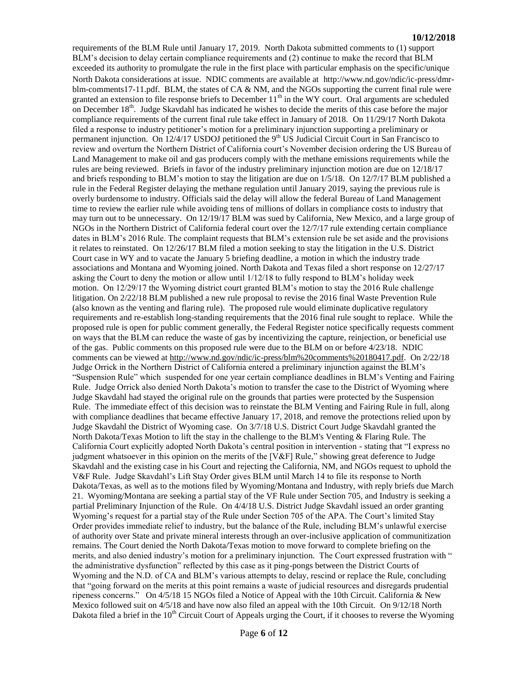#### **10/12/2018**

requirements of the BLM Rule until January 17, 2019. North Dakota submitted comments to (1) support BLM's decision to delay certain compliance requirements and (2) continue to make the record that BLM exceeded its authority to promulgate the rule in the first place with particular emphasis on the specific/unique North Dakota considerations at issue. NDIC comments are available at [http://www.nd.gov/ndic/ic-press/dmr](http://www.nd.gov/ndic/ic-press/dmr-blm-comments17-11.pdf)[blm-comments17-11.pdf.](http://www.nd.gov/ndic/ic-press/dmr-blm-comments17-11.pdf) BLM, the states of CA & NM, and the NGOs supporting the current final rule were granted an extension to file response briefs to December  $11<sup>th</sup>$  in the WY court. Oral arguments are scheduled on December 18<sup>th</sup>. Judge Skavdahl has indicated he wishes to decide the merits of this case before the major compliance requirements of the current final rule take effect in January of 2018. On 11/29/17 North Dakota filed a response to industry petitioner's motion for a preliminary injunction supporting a preliminary or permanent injunction. On 12/4/17 USDOJ petitioned the 9<sup>th</sup> US Judicial Circuit Court in San Francisco to review and overturn the Northern District of California court's November decision ordering the US Bureau of Land Management to make oil and gas producers comply with the methane emissions requirements while the rules are being reviewed. Briefs in favor of the industry preliminary injunction motion are due on 12/18/17 and briefs responding to BLM's motion to stay the litigation are due on 1/5/18. On 12/7/17 BLM published a rule in the Federal Register delaying the methane regulation until January 2019, saying the previous rule is overly burdensome to industry. Officials said the delay will allow the federal Bureau of Land Management time to review the earlier rule while avoiding tens of millions of dollars in compliance costs to industry that may turn out to be unnecessary. On 12/19/17 BLM was sued by California, New Mexico, and a large group of NGOs in the Northern District of California federal court over the 12/7/17 rule extending certain compliance dates in BLM's 2016 Rule. The complaint requests that BLM's extension rule be set aside and the provisions it relates to reinstated. On 12/26/17 BLM filed a motion seeking to stay the litigation in the U.S. District Court case in WY and to vacate the January 5 briefing deadline, a motion in which the industry trade associations and Montana and Wyoming joined. North Dakota and Texas filed a short response on 12/27/17 asking the Court to deny the motion or allow until 1/12/18 to fully respond to BLM's holiday week motion. On 12/29/17 the Wyoming district court granted BLM's motion to stay the 2016 Rule challenge litigation. On 2/22/18 BLM published a new rule proposal to revise the 2016 final Waste Prevention Rule (also known as the venting and flaring rule). The proposed rule would eliminate duplicative regulatory requirements and re-establish long-standing requirements that the 2016 final rule sought to replace. While the proposed rule is open for public comment generally, the Federal Register notice specifically requests comment on ways that the BLM can reduce the waste of gas by incentivizing the capture, reinjection, or beneficial use of the gas. Public comments on this proposed rule were due to the BLM on or before 4/23/18. NDIC comments can be viewed at [http://www.nd.gov/ndic/ic-press/blm%20comments%20180417.pdf.](http://www.nd.gov/ndic/ic-press/blm%20comments%20180417.pdf) On 2/22/18 Judge Orrick in the Northern District of California entered a preliminary injunction against the BLM's "Suspension Rule" which suspended for one year certain compliance deadlines in BLM's Venting and Fairing Rule. Judge Orrick also denied North Dakota's motion to transfer the case to the District of Wyoming where Judge Skavdahl had stayed the original rule on the grounds that parties were protected by the Suspension Rule. The immediate effect of this decision was to reinstate the BLM Venting and Fairing Rule in full, along with compliance deadlines that became effective January 17, 2018, and remove the protections relied upon by Judge Skavdahl the District of Wyoming case. On 3/7/18 U.S. District Court Judge Skavdahl granted the North Dakota/Texas Motion to lift the stay in the challenge to the BLM's Venting & Flaring Rule. The California Court explicitly adopted North Dakota's central position in intervention - stating that "I express no judgment whatsoever in this opinion on the merits of the [V&F] Rule," showing great deference to Judge Skavdahl and the existing case in his Court and rejecting the California, NM, and NGOs request to uphold the V&F Rule. Judge Skavdahl's Lift Stay Order gives BLM until March 14 to file its response to North Dakota/Texas, as well as to the motions filed by Wyoming/Montana and Industry, with reply briefs due March 21. Wyoming/Montana are seeking a partial stay of the VF Rule under Section 705, and Industry is seeking a partial Preliminary Injunction of the Rule. On 4/4/18 U.S. District Judge Skavdahl issued an order granting Wyoming's request for a partial stay of the Rule under Section 705 of the APA. The Court's limited Stay Order provides immediate relief to industry, but the balance of the Rule, including BLM's unlawful exercise of authority over State and private mineral interests through an over-inclusive application of communitization remains. The Court denied the North Dakota/Texas motion to move forward to complete briefing on the merits, and also denied industry's motion for a preliminary injunction. The Court expressed frustration with " the administrative dysfunction" reflected by this case as it ping-pongs between the District Courts of Wyoming and the N.D. of CA and BLM's various attempts to delay, rescind or replace the Rule, concluding that "going forward on the merits at this point remains a waste of judicial resources and disregards prudential ripeness concerns." On 4/5/18 15 NGOs filed a Notice of Appeal with the 10th Circuit. California & New Mexico followed suit on 4/5/18 and have now also filed an appeal with the 10th Circuit. On 9/12/18 North Dakota filed a brief in the  $10<sup>th</sup>$  Circuit Court of Appeals urging the Court, if it chooses to reverse the Wyoming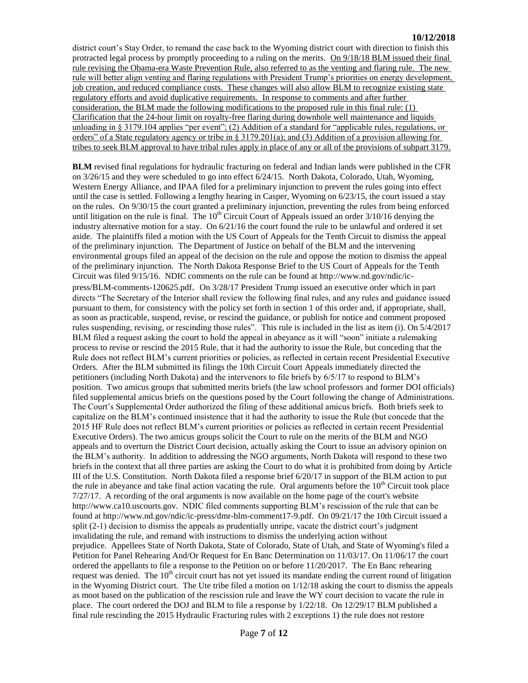district court's Stay Order, to remand the case back to the Wyoming district court with direction to finish this protracted legal process by promptly proceeding to a ruling on the merits. On 9/18/18 BLM issued their final rule revising the Obama-era Waste Prevention Rule, also referred to as the venting and flaring rule. The new rule will better align venting and flaring regulations with President Trump's priorities on energy development, job creation, and reduced compliance costs. These changes will also allow BLM to recognize existing state regulatory efforts and avoid duplicative requirements. In response to comments and after further consideration, the BLM made the following modifications to the proposed rule in this final rule: (1) Clarification that the 24-hour limit on royalty-free flaring during downhole well maintenance and liquids unloading in § 3179.104 applies "per event"; (2) Addition of a standard for "applicable rules, regulations, or orders" of a State regulatory agency or tribe in § 3179.201(a); and (3) Addition of a provision allowing for tribes to seek BLM approval to have tribal rules apply in place of any or all of the provisions of subpart 3179.

**BLM** revised final regulations for hydraulic fracturing on federal and Indian lands were published in the CFR on 3/26/15 and they were scheduled to go into effect 6/24/15. North Dakota, Colorado, Utah, Wyoming, Western Energy Alliance, and IPAA filed for a preliminary injunction to prevent the rules going into effect until the case is settled. Following a lengthy hearing in Casper, Wyoming on 6/23/15, the court issued a stay on the rules. On 9/30/15 the court granted a preliminary injunction, preventing the rules from being enforced until litigation on the rule is final. The  $10<sup>th</sup>$  Circuit Court of Appeals issued an order  $3/10/16$  denying the industry alternative motion for a stay. On 6/21/16 the court found the rule to be unlawful and ordered it set aside. The plaintiffs filed a motion with the US Court of Appeals for the Tenth Circuit to dismiss the appeal of the preliminary injunction. The Department of Justice on behalf of the BLM and the intervening environmental groups filed an appeal of the decision on the rule and oppose the motion to dismiss the appeal of the preliminary injunction. The North Dakota Response Brief to the US Court of Appeals for the Tenth Circuit was filed 9/15/16. NDIC comments on the rule can be found at [http://www.nd.gov/ndic/ic](http://www.nd.gov/ndic/ic-press/BLM-comments-120625.pdf)[press/BLM-comments-120625.pdf](http://www.nd.gov/ndic/ic-press/BLM-comments-120625.pdf). On 3/28/17 President Trump issued an executive order which in part directs "The Secretary of the Interior shall review the following final rules, and any rules and guidance issued pursuant to them, for consistency with the policy set forth in section 1 of this order and, if appropriate, shall, as soon as practicable, suspend, revise, or rescind the guidance, or publish for notice and comment proposed rules suspending, revising, or rescinding those rules". This rule is included in the list as item (i). On 5/4/2017 BLM filed a request asking the court to hold the appeal in abeyance as it will "soon" initiate a rulemaking process to revise or rescind the 2015 Rule, that it had the authority to issue the Rule, but conceding that the Rule does not reflect BLM's current priorities or policies, as reflected in certain recent Presidential Executive Orders. After the BLM submitted its filings the 10th Circuit Court Appeals immediately directed the petitioners (including North Dakota) and the intervenors to file briefs by 6/5/17 to respond to BLM's position. Two amicus groups that submitted merits briefs (the law school professors and former DOI officials) filed supplemental amicus briefs on the questions posed by the Court following the change of Administrations. The Court's Supplemental Order authorized the filing of these additional amicus briefs. Both briefs seek to capitalize on the BLM's continued insistence that it had the authority to issue the Rule (but concede that the 2015 HF Rule does not reflect BLM's current priorities or policies as reflected in certain recent Presidential Executive Orders). The two amicus groups solicit the Court to rule on the merits of the BLM and NGO appeals and to overturn the District Court decision, actually asking the Court to issue an advisory opinion on the BLM's authority. In addition to addressing the NGO arguments, North Dakota will respond to these two briefs in the context that all three parties are asking the Court to do what it is prohibited from doing by Article III of the U.S. Constitution. North Dakota filed a response brief 6/20/17 in support of the BLM action to put the rule in abeyance and take final action vacating the rule. Oral arguments before the  $10<sup>th</sup>$  Circuit took place 7/27/17. A recording of the oral arguments is now available on the home page of the court's website [http://www.ca10.uscourts.gov.](https://urldefense.proofpoint.com/v2/url?u=http-3A__www.ca10.uscourts.gov&d=DwMGaQ&c=2s2mvbfY0UoSKkl6_Ol9wg&r=-wqsZnBxny594KY8HeElow&m=Ul_VtJUX6iW5pvHjCcBxUWtskC0F4Dhry3sPtcEHvCw&s=laRHiLDv5w8otcQWQjpn82WMieoB2AZ-Q4M1LFQPL5s&e=) NDIC filed comments supporting BLM's rescission of the rule that can be found at [http://www.nd.gov/ndic/ic-press/dmr-blm-comment17-9.pdf.](http://www.nd.gov/ndic/ic-press/dmr-blm-comment17-9.pdf) On 09/21/17 the 10th Circuit issued a split (2-1) decision to dismiss the appeals as prudentially unripe, vacate the district court's judgment invalidating the rule, and remand with instructions to dismiss the underlying action without prejudice. Appellees State of North Dakota, State of Colorado, State of Utah, and State of Wyoming's filed a Petition for Panel Rehearing And/Or Request for En Banc Determination on 11/03/17. On 11/06/17 the court ordered the appellants to file a response to the Petition on or before 11/20/2017. The En Banc rehearing request was denied. The  $10<sup>th</sup>$  circuit court has not yet issued its mandate ending the current round of litigation in the Wyoming District court. The Ute tribe filed a motion on 1/12/18 asking the court to dismiss the appeals as moot based on the publication of the rescission rule and leave the WY court decision to vacate the rule in place. The court ordered the DOJ and BLM to file a response by 1/22/18. On 12/29/17 BLM published a final rule rescinding the 2015 Hydraulic Fracturing rules with 2 exceptions 1) the rule does not restore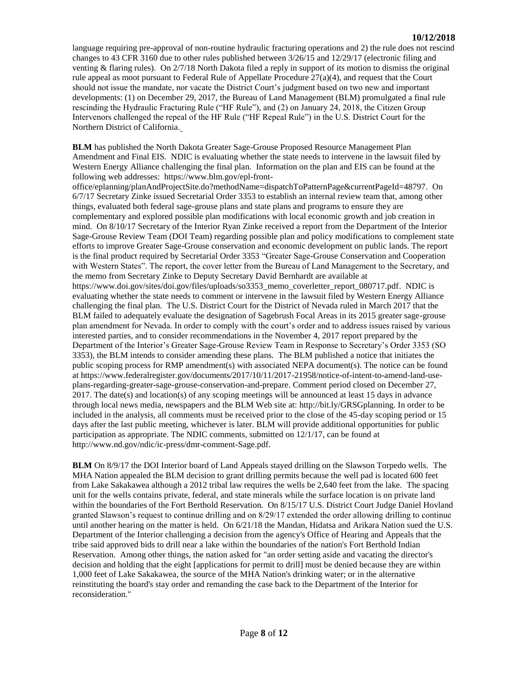language requiring pre-approval of non-routine hydraulic fracturing operations and 2) the rule does not rescind changes to 43 CFR 3160 due to other rules published between 3/26/15 and 12/29/17 (electronic filing and venting & flaring rules). On 2/7/18 North Dakota filed a reply in support of its motion to dismiss the original rule appeal as moot pursuant to Federal Rule of Appellate Procedure 27(a)(4), and request that the Court should not issue the mandate, nor vacate the District Court's judgment based on two new and important developments: (1) on December 29, 2017, the Bureau of Land Management (BLM) promulgated a final rule rescinding the Hydraulic Fracturing Rule ("HF Rule"), and (2) on January 24, 2018, the Citizen Group Intervenors challenged the repeal of the HF Rule ("HF Repeal Rule") in the U.S. District Court for the Northern District of California.

**BLM** has published the North Dakota Greater Sage-Grouse Proposed Resource Management Plan Amendment and Final EIS. NDIC is evaluating whether the state needs to intervene in the lawsuit filed by Western Energy Alliance challenging the final plan. Information on the plan and EIS can be found at the following web addresses: [https://www.blm.gov/epl-front-](https://www.blm.gov/epl-front-office/eplanning/planAndProjectSite.do?methodName=dispatchToPatternPage¤tPageId=48797)

[office/eplanning/planAndProjectSite.do?methodName=dispatchToPatternPage&currentPageId=48797.](https://www.blm.gov/epl-front-office/eplanning/planAndProjectSite.do?methodName=dispatchToPatternPage¤tPageId=48797) On 6/7/17 Secretary Zinke issued Secretarial Order 3353 to establish an internal review team that, among other things, evaluated both federal sage-grouse plans and state plans and programs to ensure they are complementary and explored possible plan modifications with local economic growth and job creation in mind. On 8/10/17 Secretary of the Interior Ryan Zinke received a report from the Department of the Interior Sage-Grouse Review Team (DOI Team) regarding possible plan and policy modifications to complement state efforts to improve Greater Sage-Grouse conservation and economic development on public lands. The report is the final product required by Secretarial Order 3353 "Greater Sage-Grouse Conservation and Cooperation with Western States". The report, the cover letter from the Bureau of Land Management to the Secretary, and the memo from Secretary Zinke to Deputy Secretary David Bernhardt are available at [https://www.doi.gov/sites/doi.gov/files/uploads/so3353\\_memo\\_coverletter\\_report\\_080717.pdf.](https://www.doi.gov/sites/doi.gov/files/uploads/so3353_memo_coverletter_report_080717.pdf) NDIC is evaluating whether the state needs to comment or intervene in the lawsuit filed by Western Energy Alliance challenging the final plan. The U.S. District Court for the District of Nevada ruled in March 2017 that the BLM failed to adequately evaluate the designation of Sagebrush Focal Areas in its 2015 greater sage-grouse plan amendment for Nevada. In order to comply with the court's order and to address issues raised by various interested parties, and to consider recommendations in the November 4, 2017 report prepared by the Department of the Interior's Greater Sage-Grouse Review Team in Response to Secretary's Order 3353 (SO 3353), the BLM intends to consider amending these plans. The BLM published a notice that initiates the public scoping process for RMP amendment(s) with associated NEPA document(s). The notice can be found a[t https://www.federalregister.gov/documents/2017/10/11/2017-21958/notice-of-intent-to-amend-land-use](https://www.federalregister.gov/documents/2017/10/11/2017-21958/notice-of-intent-to-amend-land-use-plans-regarding-greater-sage-grouse-conservation-and-prepare)[plans-regarding-greater-sage-grouse-conservation-and-prepare.](https://www.federalregister.gov/documents/2017/10/11/2017-21958/notice-of-intent-to-amend-land-use-plans-regarding-greater-sage-grouse-conservation-and-prepare) Comment period closed on December 27, 2017. The date(s) and location(s) of any scoping meetings will be announced at least 15 days in advance through local news media, newspapers and the BLM Web site at: [http://bit.ly/GRSGplanning.](http://bit.ly/​GRSGplanning) In order to be included in the analysis, all comments must be received prior to the close of the 45-day scoping period or 15 days after the last public meeting, whichever is later. BLM will provide additional opportunities for public participation as appropriate. The NDIC comments, submitted on 12/1/17, can be found at [http://www.nd.gov/ndic/ic-press/dmr-comment-Sage.pdf.](http://www.nd.gov/ndic/ic-press/dmr-comment-Sage.pdf)

**BLM** On 8/9/17 the DOI Interior board of Land Appeals stayed drilling on the Slawson Torpedo wells. The MHA Nation appealed the BLM decision to grant drilling permits because the well pad is located 600 feet from Lake Sakakawea although a 2012 tribal law requires the wells be 2,640 feet from the lake. The spacing unit for the wells contains private, federal, and state minerals while the surface location is on private land within the boundaries of the Fort Berthold Reservation. On 8/15/17 U.S. District Court Judge Daniel Hovland granted Slawson's request to continue drilling and on 8/29/17 extended the order allowing drilling to continue until another hearing on the matter is held. On 6/21/18 the Mandan, Hidatsa and Arikara Nation sued the U.S. Department of the Interior challenging a decision from the agency's Office of Hearing and Appeals that the tribe said approved bids to drill near a lake within the boundaries of the nation's Fort Berthold Indian Reservation. Among other things, the nation asked for "an order setting aside and vacating the director's decision and holding that the eight [applications for permit to drill] must be denied because they are within 1,000 feet of Lake Sakakawea, the source of the MHA Nation's drinking water; or in the alternative reinstituting the board's stay order and remanding the case back to the Department of the Interior for reconsideration."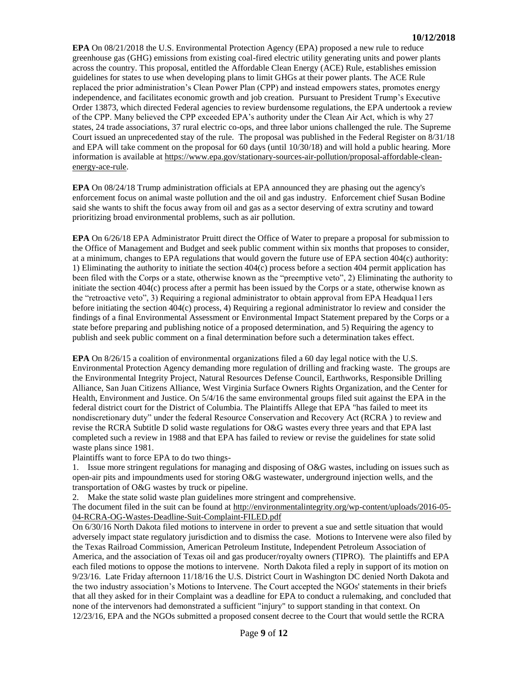**EPA** On 08/21/2018 the U.S. Environmental Protection Agency (EPA) proposed a new rule to reduce greenhouse gas (GHG) emissions from existing coal-fired electric utility generating units and power plants across the country. This proposal, entitled the Affordable Clean Energy (ACE) Rule, establishes emission guidelines for states to use when developing plans to limit GHGs at their power plants. The ACE Rule replaced the prior administration's Clean Power Plan (CPP) and instead empowers states, promotes energy independence, and facilitates economic growth and job creation. Pursuant to President Trump's Executive Order 13873, which directed Federal agencies to review burdensome regulations, the EPA undertook a review of the CPP. Many believed the CPP exceeded EPA's authority under the Clean Air Act, which is why 27 states, 24 trade associations, 37 rural electric co-ops, and three labor unions challenged the rule. The Supreme Court issued an unprecedented stay of the rule. The proposal was published in the Federal Register on 8/31/18 and EPA will take comment on the proposal for 60 days (until 10/30/18) and will hold a public hearing. More information is available at [https://www.epa.gov/stationary-sources-air-pollution/proposal-affordable-clean](https://www.epa.gov/stationary-sources-air-pollution/proposal-affordable-clean-energy-ace-rule)[energy-ace-rule.](https://www.epa.gov/stationary-sources-air-pollution/proposal-affordable-clean-energy-ace-rule)

**EPA** On 08/24/18 Trump administration officials at EPA announced they are phasing out the agency's enforcement focus on animal waste pollution and the oil and gas industry. Enforcement chief Susan Bodine said she wants to shift the focus away from oil and gas as a sector deserving of extra scrutiny and toward prioritizing broad environmental problems, such as air pollution.

**EPA** On 6/26/18 EPA Administrator Pruitt direct the Office of Water to prepare a proposal for submission to the Office of Management and Budget and seek public comment within six months that proposes to consider, at a minimum, changes to EPA regulations that would govern the future use of EPA section 404(c) authority: 1) Eliminating the authority to initiate the section 404(c) process before a section 404 permit application has been filed with the Corps or a state, otherwise known as the "preemptive veto", 2) Eliminating the authority to initiate the section 404(c) process after a permit has been issued by the Corps or a state, otherwise known as the "retroactive veto", 3) Requiring a regional administrator to obtain approval from EPA Headqua11ers before initiating the section 404(c) process, 4) Requiring a regional administrator lo review and consider the findings of a final Environmental Assessment or Environmental Impact Statement prepared by the Corps or a state before preparing and publishing notice of a proposed determination, and 5) Requiring the agency to publish and seek public comment on a final determination before such a determination takes effect.

**EPA** On 8/26/15 a coalition of environmental organizations filed a 60 day legal notice with the U.S. Environmental Protection Agency demanding more regulation of drilling and fracking waste. The groups are the Environmental Integrity Project, Natural Resources Defense Council, Earthworks, Responsible Drilling Alliance, San Juan Citizens Alliance, West Virginia Surface Owners Rights Organization, and the Center for Health, Environment and Justice. On 5/4/16 the same environmental groups filed suit against the EPA in the federal district court for the District of Columbia. The Plaintiffs Allege that EPA "has failed to meet its nondiscretionary duty" under the federal Resource Conservation and Recovery Act (RCRA ) to review and revise the RCRA Subtitle D solid waste regulations for O&G wastes every three years and that EPA last completed such a review in 1988 and that EPA has failed to review or revise the guidelines for state solid waste plans since 1981.

Plaintiffs want to force EPA to do two things-

1. Issue more stringent regulations for managing and disposing of O&G wastes, including on issues such as open-air pits and impoundments used for storing O&G wastewater, underground injection wells, and the transportation of O&G wastes by truck or pipeline.

2. Make the state solid waste plan guidelines more stringent and comprehensive.

The document filed in the suit can be found at [http://environmentalintegrity.org/wp-content/uploads/2016-05-](http://environmentalintegrity.org/wp-content/uploads/2016-05-04-RCRA-OG-Wastes-Deadline-Suit-Complaint-FILED.pdf) [04-RCRA-OG-Wastes-Deadline-Suit-Complaint-FILED.pdf](http://environmentalintegrity.org/wp-content/uploads/2016-05-04-RCRA-OG-Wastes-Deadline-Suit-Complaint-FILED.pdf)

On 6/30/16 North Dakota filed motions to intervene in order to prevent a sue and settle situation that would adversely impact state regulatory jurisdiction and to dismiss the case. Motions to Intervene were also filed by the Texas Railroad Commission, American Petroleum Institute, Independent Petroleum Association of America, and the association of Texas oil and gas producer/royalty owners (TIPRO). The plaintiffs and EPA each filed motions to oppose the motions to intervene. North Dakota filed a reply in support of its motion on 9/23/16. Late Friday afternoon 11/18/16 the U.S. District Court in Washington DC denied North Dakota and the two industry association's Motions to Intervene. The Court accepted the NGOs' statements in their briefs that all they asked for in their Complaint was a deadline for EPA to conduct a rulemaking, and concluded that none of the intervenors had demonstrated a sufficient "injury" to support standing in that context. On 12/23/16, EPA and the NGOs submitted a proposed consent decree to the Court that would settle the RCRA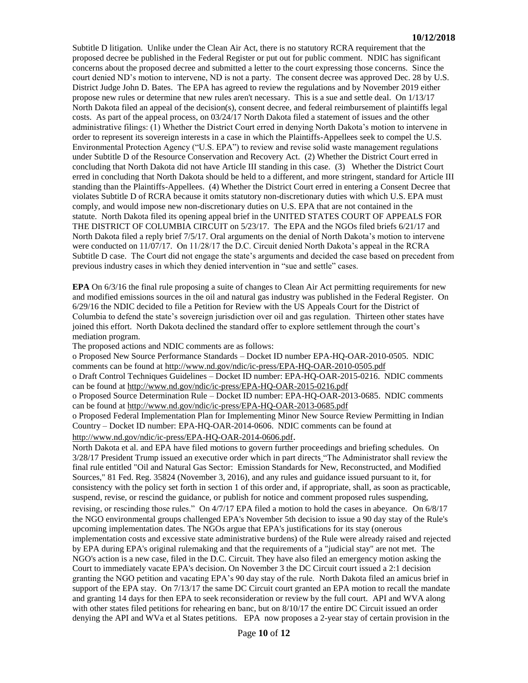Subtitle D litigation. Unlike under the Clean Air Act, there is no statutory RCRA requirement that the proposed decree be published in the Federal Register or put out for public comment. NDIC has significant concerns about the proposed decree and submitted a letter to the court expressing those concerns. Since the court denied ND's motion to intervene, ND is not a party. The consent decree was approved Dec. 28 by U.S. District Judge John D. Bates. The EPA has agreed to review the regulations and by November 2019 either propose new rules or determine that new rules aren't necessary. This is a sue and settle deal. On 1/13/17 North Dakota filed an appeal of the decision(s), consent decree, and federal reimbursement of plaintiffs legal costs. As part of the appeal process, on 03/24/17 North Dakota filed a statement of issues and the other administrative filings: (1) Whether the District Court erred in denying North Dakota's motion to intervene in order to represent its sovereign interests in a case in which the Plaintiffs-Appellees seek to compel the U.S. Environmental Protection Agency ("U.S. EPA") to review and revise solid waste management regulations under Subtitle D of the Resource Conservation and Recovery Act. (2) Whether the District Court erred in concluding that North Dakota did not have Article III standing in this case. (3) Whether the District Court erred in concluding that North Dakota should be held to a different, and more stringent, standard for Article III standing than the Plaintiffs-Appellees. (4) Whether the District Court erred in entering a Consent Decree that violates Subtitle D of RCRA because it omits statutory non-discretionary duties with which U.S. EPA must comply, and would impose new non-discretionary duties on U.S. EPA that are not contained in the statute. North Dakota filed its opening appeal brief in the UNITED STATES COURT OF APPEALS FOR THE DISTRICT OF COLUMBIA CIRCUIT on 5/23/17. The EPA and the NGOs filed briefs 6/21/17 and North Dakota filed a reply brief 7/5/17. Oral arguments on the denial of North Dakota's motion to intervene were conducted on 11/07/17. On 11/28/17 the D.C. Circuit denied North Dakota's appeal in the RCRA Subtitle D case. The Court did not engage the state's arguments and decided the case based on precedent from previous industry cases in which they denied intervention in "sue and settle" cases.

**EPA** On 6/3/16 the final rule proposing a suite of changes to Clean Air Act permitting requirements for new and modified emissions sources in the oil and natural gas industry was published in the Federal Register. On 6/29/16 the NDIC decided to file a Petition for Review with the US Appeals Court for the District of Columbia to defend the state's sovereign jurisdiction over oil and gas regulation. Thirteen other states have joined this effort. North Dakota declined the standard offer to explore settlement through the court's mediation program.

The proposed actions and NDIC comments are as follows:

o Proposed New Source Performance Standards – Docket ID number EPA-HQ-OAR-2010-0505. NDIC comments can be found at<http://www.nd.gov/ndic/ic-press/EPA-HQ-OAR-2010-0505.pdf>

o Draft Control Techniques Guidelines – Docket ID number: EPA-HQ-OAR-2015-0216. NDIC comments can be found at<http://www.nd.gov/ndic/ic-press/EPA-HQ-OAR-2015-0216.pdf>

o Proposed Source Determination Rule – Docket ID number: EPA-HQ-OAR-2013-0685. NDIC comments can be found at<http://www.nd.gov/ndic/ic-press/EPA-HQ-OAR-2013-0685.pdf>

o Proposed Federal Implementation Plan for Implementing Minor New Source Review Permitting in Indian Country – Docket ID number: EPA-HQ-OAR-2014-0606. NDIC comments can be found at <http://www.nd.gov/ndic/ic-press/EPA-HQ-OAR-2014-0606.pdf>.

North Dakota et al. and EPA have filed motions to govern further proceedings and briefing schedules. On 3/28/17 President Trump issued an executive order which in part directs "The Administrator shall review the final rule entitled "Oil and Natural Gas Sector: Emission Standards for New, Reconstructed, and Modified Sources," 81 Fed. Reg. 35824 (November 3, 2016), and any rules and guidance issued pursuant to it, for consistency with the policy set forth in section 1 of this order and, if appropriate, shall, as soon as practicable, suspend, revise, or rescind the guidance, or publish for notice and comment proposed rules suspending, revising, or rescinding those rules." On 4/7/17 EPA filed a motion to hold the cases in abeyance. On 6/8/17 the NGO environmental groups challenged EPA's November 5th decision to issue a 90 day stay of the Rule's upcoming implementation dates. The NGOs argue that EPA's justifications for its stay (onerous implementation costs and excessive state administrative burdens) of the Rule were already raised and rejected by EPA during EPA's original rulemaking and that the requirements of a "judicial stay" are not met. The NGO's action is a new case, filed in the D.C. Circuit. They have also filed an emergency motion asking the Court to immediately vacate EPA's decision. On November 3 the DC Circuit court issued a 2:1 decision granting the NGO petition and vacating EPA's 90 day stay of the rule. North Dakota filed an amicus brief in support of the EPA stay. On 7/13/17 the same DC Circuit court granted an EPA motion to recall the mandate and granting 14 days for then EPA to seek reconsideration or review by the full court. API and WVA along with other states filed petitions for rehearing en banc, but on  $8/10/17$  the entire DC Circuit issued an order denying the API and WVa et al States petitions. EPA now proposes a 2-year stay of certain provision in the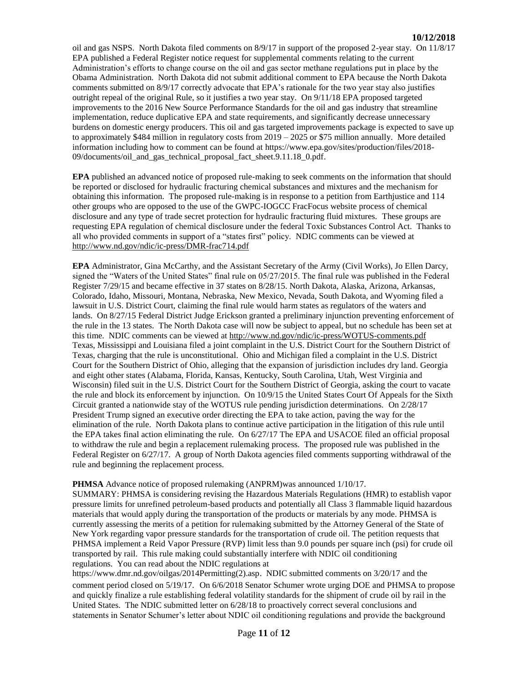oil and gas NSPS. North Dakota filed comments on 8/9/17 in support of the proposed 2-year stay. On 11/8/17 EPA published a Federal Register notice request for supplemental comments relating to the current Administration's efforts to change course on the oil and gas sector methane regulations put in place by the Obama Administration. North Dakota did not submit additional comment to EPA because the North Dakota comments submitted on 8/9/17 correctly advocate that EPA's rationale for the two year stay also justifies outright repeal of the original Rule, so it justifies a two year stay. On 9/11/18 EPA proposed targeted improvements to the 2016 New Source Performance Standards for the oil and gas industry that streamline implementation, reduce duplicative EPA and state requirements, and significantly decrease unnecessary burdens on domestic energy producers. This oil and gas targeted improvements package is expected to save up to approximately \$484 million in regulatory costs from 2019 – 2025 or \$75 million annually. More detailed information including how to comment can be found at [https://www.epa.gov/sites/production/files/2018-](https://www.epa.gov/sites/production/files/2018-09/documents/oil_and_gas_technical_proposal_fact_sheet.9.11.18_0.pdf) [09/documents/oil\\_and\\_gas\\_technical\\_proposal\\_fact\\_sheet.9.11.18\\_0.pdf.](https://www.epa.gov/sites/production/files/2018-09/documents/oil_and_gas_technical_proposal_fact_sheet.9.11.18_0.pdf)

**EPA** published an advanced notice of proposed rule-making to seek comments on the information that should be reported or disclosed for hydraulic fracturing chemical substances and mixtures and the mechanism for obtaining this information. The proposed rule-making is in response to a petition from Earthjustice and 114 other groups who are opposed to the use of the GWPC-IOGCC FracFocus website process of chemical disclosure and any type of trade secret protection for hydraulic fracturing fluid mixtures. These groups are requesting EPA regulation of chemical disclosure under the federal Toxic Substances Control Act. Thanks to all who provided comments in support of a "states first" policy. NDIC comments can be viewed at <http://www.nd.gov/ndic/ic-press/DMR-frac714.pdf>

**EPA** Administrator, Gina McCarthy, and the Assistant Secretary of the Army (Civil Works), Jo Ellen Darcy, signed the "Waters of the United States" final rule on 05/27/2015. The final rule was published in the Federal Register 7/29/15 and became effective in 37 states on 8/28/15. North Dakota, Alaska, Arizona, Arkansas, Colorado, Idaho, Missouri, Montana, Nebraska, New Mexico, Nevada, South Dakota, and Wyoming filed a lawsuit in U.S. District Court, claiming the final rule would harm states as regulators of the waters and lands. On 8/27/15 Federal District Judge Erickson granted a preliminary injunction preventing enforcement of the rule in the 13 states. The North Dakota case will now be subject to appeal, but no schedule has been set at this time. NDIC comments can be viewed at<http://www.nd.gov/ndic/ic-press/WOTUS-comments.pdf> Texas, Mississippi and Louisiana filed a joint complaint in the U.S. District Court for the Southern District of Texas, charging that the rule is unconstitutional. Ohio and Michigan filed a complaint in the U.S. District Court for the Southern District of Ohio, alleging that the expansion of jurisdiction includes dry land. Georgia and eight other states (Alabama, Florida, Kansas, Kentucky, South Carolina, Utah, West Virginia and Wisconsin) filed suit in the U.S. District Court for the Southern District of Georgia, asking the court to vacate the rule and block its enforcement by injunction. On 10/9/15 the United States Court Of Appeals for the Sixth Circuit granted a nationwide stay of the WOTUS rule pending jurisdiction determinations. On 2/28/17 President Trump signed an executive order directing the EPA to take action, paving the way for the elimination of the rule. North Dakota plans to continue active participation in the litigation of this rule until the EPA takes final action eliminating the rule. On 6/27/17 The EPA and USACOE filed an official proposal to withdraw the rule and begin a replacement rulemaking process. The proposed rule was published in the Federal Register on 6/27/17. A group of North Dakota agencies filed comments supporting withdrawal of the rule and beginning the replacement process.

#### **PHMSA** Advance notice of proposed rulemaking (ANPRM)was announced 1/10/17.

SUMMARY: PHMSA is considering revising the Hazardous Materials Regulations (HMR) to establish vapor pressure limits for unrefined petroleum-based products and potentially all Class 3 flammable liquid hazardous materials that would apply during the transportation of the products or materials by any mode. PHMSA is currently assessing the merits of a petition for rulemaking submitted by the Attorney General of the State of New York regarding vapor pressure standards for the transportation of crude oil. The petition requests that PHMSA implement a Reid Vapor Pressure (RVP) limit less than 9.0 pounds per square inch (psi) for crude oil transported by rail. This rule making could substantially interfere with NDIC oil conditioning regulations. You can read about the NDIC regulations at

[https://www.dmr.nd.gov/oilgas/2014Permitting\(2\).asp.](https://www.dmr.nd.gov/oilgas/2014Permitting(2).asp) NDIC submitted comments on 3/20/17 and the comment period closed on 5/19/17. On 6/6/2018 Senator Schumer wrote urging DOE and PHMSA to propose and quickly finalize a rule establishing federal volatility standards for the shipment of crude oil by rail in the United States. The NDIC submitted letter on 6/28/18 to proactively correct several conclusions and statements in Senator Schumer's letter about NDIC oil conditioning regulations and provide the background